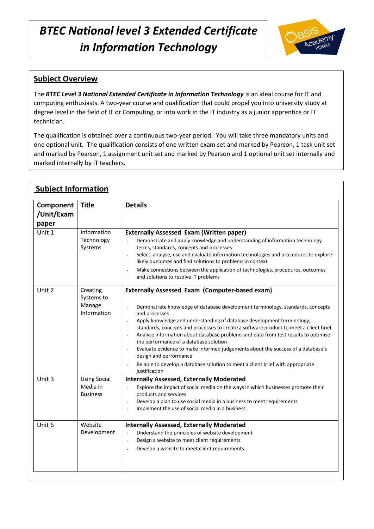

# **Subject Overview**

The *BTEC Level 3 National Extended Certificate in Information Technology* is an ideal course for IT and computing enthusiasts. A two-year course and qualification that could propel you into university study at degree level in the field of IT or Computing, or into work in the IT industry as a junior apprentice or IT technician.

The qualification is obtained over a continuous two-year period. You will take three mandatory units and one optional unit. The qualification consists of one written exam set and marked by Pearson, 1 task unit set and marked by Pearson, 1 assignment unit set and marked by Pearson and 1 optional unit set internally and marked internally by IT teachers.

| Component<br>/Unit/Exam<br>paper | <b>Title</b>                                       | <b>Details</b>                                                                                                                                                                                                                                                                                                                                                                                                                                                                                                                                                                                                                                                                                          |
|----------------------------------|----------------------------------------------------|---------------------------------------------------------------------------------------------------------------------------------------------------------------------------------------------------------------------------------------------------------------------------------------------------------------------------------------------------------------------------------------------------------------------------------------------------------------------------------------------------------------------------------------------------------------------------------------------------------------------------------------------------------------------------------------------------------|
| Unit 1                           | Information<br>Technology<br>Systems               | <b>Externally Assessed Exam (Written paper)</b><br>Demonstrate and apply knowledge and understanding of information technology<br>terms, standards, concepts and processes<br>Select, analyse, use and evaluate information technologies and procedures to explore<br>v<br>likely outcomes and find solutions to problems in context<br>Make connections between the application of technologies, procedures, outcomes<br>$\checkmark$<br>and solutions to resolve IT problems                                                                                                                                                                                                                          |
| Unit 2                           | Creating<br>Systems to<br>Manage<br>Information    | <b>Externally Assessed Exam (Computer-based exam)</b><br>Demonstrate knowledge of database development terminology, standards, concepts<br>and processes<br>Apply knowledge and understanding of database development terminology,<br>$\epsilon$<br>standards, concepts and processes to create a software product to meet a client brief<br>Analyse information about database problems and data from test results to optimise<br>$\epsilon$<br>the performance of a database solution<br>Evaluate evidence to make informed judgements about the success of a database's<br>design and performance<br>Be able to develop a database solution to meet a client brief with appropriate<br>justification |
| Unit 3                           | <b>Using Social</b><br>Media in<br><b>Business</b> | <b>Internally Assessed, Externally Moderated</b><br>Explore the impact of social media on the ways in which businesses promote their<br>products and services<br>Develop a plan to use social media in a business to meet requirements<br>v<br>Implement the use of social media in a business                                                                                                                                                                                                                                                                                                                                                                                                          |
| Unit 6                           | Website<br>Development                             | <b>Internally Assessed, Externally Moderated</b><br>Understand the principles of website development<br>Design a website to meet client requirements<br>$\epsilon$<br>Develop a website to meet client requirements.<br>$\mathbf{v}$                                                                                                                                                                                                                                                                                                                                                                                                                                                                    |

# **Subject Information**